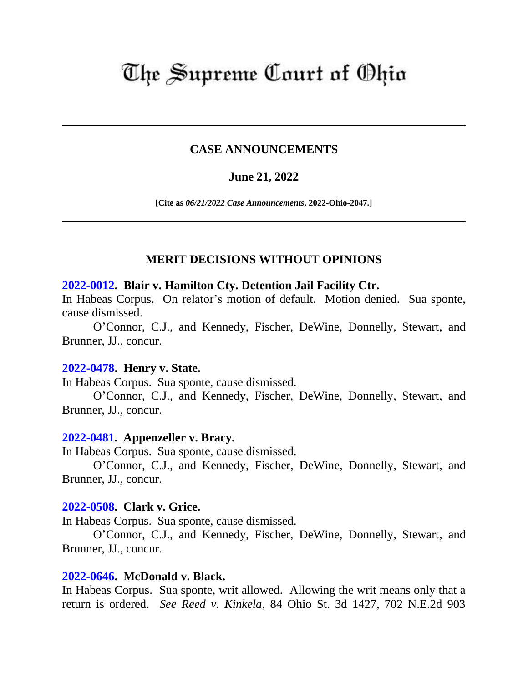# The Supreme Court of Ohio

## **CASE ANNOUNCEMENTS**

# **June 21, 2022**

**[Cite as** *06/21/2022 Case Announcements***, 2022-Ohio-2047.]**

# **MERIT DECISIONS WITHOUT OPINIONS**

#### **[2022-0012.](https://www.supremecourt.ohio.gov/Clerk/ecms/#/caseinfo/2022/0012) Blair v. Hamilton Cty. Detention Jail Facility Ctr.**

In Habeas Corpus. On relator's motion of default. Motion denied. Sua sponte, cause dismissed.

O'Connor, C.J., and Kennedy, Fischer, DeWine, Donnelly, Stewart, and Brunner, JJ., concur.

#### **[2022-0478.](https://www.supremecourt.ohio.gov/Clerk/ecms/#/caseinfo/2022/0478) Henry v. State.**

In Habeas Corpus. Sua sponte, cause dismissed.

O'Connor, C.J., and Kennedy, Fischer, DeWine, Donnelly, Stewart, and Brunner, JJ., concur.

## **[2022-0481.](https://www.supremecourt.ohio.gov/Clerk/ecms/#/caseinfo/2022/0481) Appenzeller v. Bracy.**

In Habeas Corpus. Sua sponte, cause dismissed.

O'Connor, C.J., and Kennedy, Fischer, DeWine, Donnelly, Stewart, and Brunner, JJ., concur.

#### **[2022-0508.](https://www.supremecourt.ohio.gov/Clerk/ecms/#/caseinfo/2022/0508) Clark v. Grice.**

In Habeas Corpus. Sua sponte, cause dismissed.

O'Connor, C.J., and Kennedy, Fischer, DeWine, Donnelly, Stewart, and Brunner, JJ., concur.

## **[2022-0646.](https://www.supremecourt.ohio.gov/Clerk/ecms/#/caseinfo/2022/0646) McDonald v. Black.**

In Habeas Corpus. Sua sponte, writ allowed. Allowing the writ means only that a return is ordered. *See Reed v. Kinkela*, 84 Ohio St. 3d 1427, 702 N.E.2d 903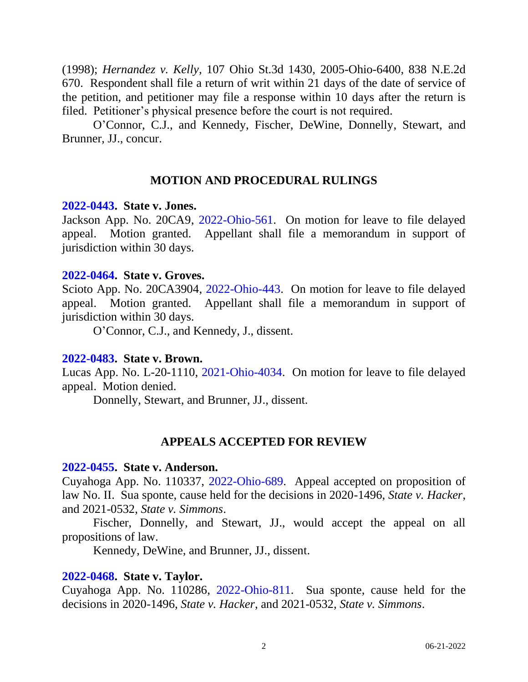(1998); *Hernandez v. Kelly*, 107 Ohio St.3d 1430, 2005-Ohio-6400, 838 N.E.2d 670. Respondent shall file a return of writ within 21 days of the date of service of the petition, and petitioner may file a response within 10 days after the return is filed. Petitioner's physical presence before the court is not required.

O'Connor, C.J., and Kennedy, Fischer, DeWine, Donnelly, Stewart, and Brunner, JJ., concur.

## **MOTION AND PROCEDURAL RULINGS**

#### **[2022-0443.](https://www.supremecourt.ohio.gov/Clerk/ecms/#/caseinfo/2022/0443) State v. Jones.**

Jackson App. No. 20CA9, [2022-Ohio-561.](https://www.supremecourt.ohio.gov/rod/docs/pdf/4/2022/2022-Ohio-561.pdf) On motion for leave to file delayed appeal. Motion granted. Appellant shall file a memorandum in support of jurisdiction within 30 days.

#### **[2022-0464.](https://www.supremecourt.ohio.gov/Clerk/ecms/#/caseinfo/2022/0464) State v. Groves.**

Scioto App. No. 20CA3904, [2022-Ohio-443.](https://www.supremecourt.ohio.gov/rod/docs/pdf/4/2022/2022-Ohio-443.pdf) On motion for leave to file delayed appeal. Motion granted. Appellant shall file a memorandum in support of jurisdiction within 30 days.

O'Connor, C.J., and Kennedy, J., dissent.

## **[2022-0483.](https://www.supremecourt.ohio.gov/Clerk/ecms/#/caseinfo/2022/0483) State v. Brown.**

Lucas App. No. L-20-1110, [2021-Ohio-4034.](https://www.supremecourt.ohio.gov/rod/docs/pdf/6/2021/2021-Ohio-4034.pdf) On motion for leave to file delayed appeal. Motion denied.

Donnelly, Stewart, and Brunner, JJ., dissent.

# **APPEALS ACCEPTED FOR REVIEW**

#### **[2022-0455.](https://www.supremecourt.ohio.gov/Clerk/ecms/#/caseinfo/2022/0455) State v. Anderson.**

Cuyahoga App. No. 110337, [2022-Ohio-689.](https://www.supremecourt.ohio.gov/rod/docs/pdf/8/2022/2022-Ohio-689.pdf) Appeal accepted on proposition of law No. II. Sua sponte, cause held for the decisions in 2020-1496, *State v. Hacker*, and 2021-0532, *State v. Simmons*.

Fischer, Donnelly, and Stewart, JJ., would accept the appeal on all propositions of law.

Kennedy, DeWine, and Brunner, JJ., dissent.

## **[2022-0468.](https://www.supremecourt.ohio.gov/Clerk/ecms/#/caseinfo/2022/0468) State v. Taylor.**

Cuyahoga App. No. 110286, [2022-Ohio-811.](https://www.supremecourt.ohio.gov/rod/docs/pdf/8/2022/2022-Ohio-811.pdf) Sua sponte, cause held for the decisions in 2020-1496, *State v. Hacker*, and 2021-0532, *State v. Simmons*.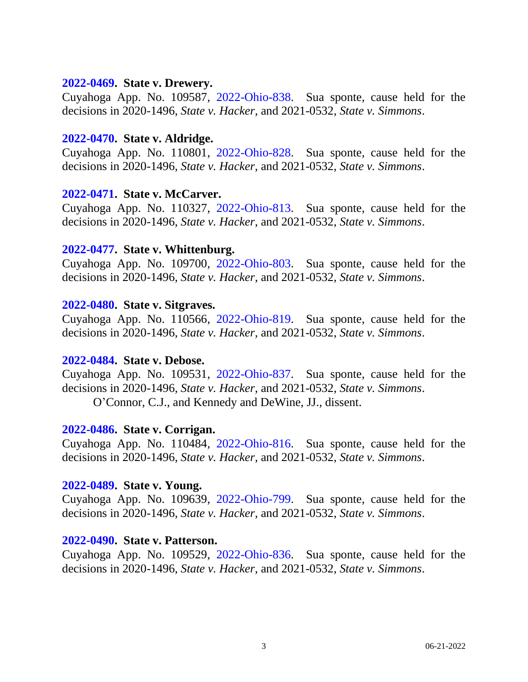### **[2022-0469.](https://www.supremecourt.ohio.gov/Clerk/ecms/#/caseinfo/2022/0469) State v. Drewery.**

Cuyahoga App. No. 109587, [2022-Ohio-838.](https://www.supremecourt.ohio.gov/rod/docs/pdf/8/2022/2022-Ohio-838.pdf) Sua sponte, cause held for the decisions in 2020-1496, *State v. Hacker*, and 2021-0532, *State v. Simmons*.

#### **[2022-0470.](https://www.supremecourt.ohio.gov/Clerk/ecms/#/caseinfo/2022/0470) State v. Aldridge.**

Cuyahoga App. No. 110801, [2022-Ohio-828.](https://www.supremecourt.ohio.gov/rod/docs/pdf/8/2022/2022-Ohio-828.pdf) Sua sponte, cause held for the decisions in 2020-1496, *State v. Hacker*, and 2021-0532, *State v. Simmons*.

## **[2022-0471.](https://www.supremecourt.ohio.gov/Clerk/ecms/#/caseinfo/2022/0471) State v. McCarver.**

Cuyahoga App. No. 110327, [2022-Ohio-813.](https://www.supremecourt.ohio.gov/rod/docs/pdf/8/2022/2022-Ohio-813.pdf) Sua sponte, cause held for the decisions in 2020-1496, *State v. Hacker*, and 2021-0532, *State v. Simmons*.

## **[2022-0477.](https://www.supremecourt.ohio.gov/Clerk/ecms/#/caseinfo/2022/0477) State v. Whittenburg.**

Cuyahoga App. No. 109700, [2022-Ohio-803.](https://www.supremecourt.ohio.gov/rod/docs/pdf/8/2022/2022-Ohio-803.pdf) Sua sponte, cause held for the decisions in 2020-1496, *State v. Hacker*, and 2021-0532, *State v. Simmons*.

#### **[2022-0480.](https://www.supremecourt.ohio.gov/Clerk/ecms/#/caseinfo/2022/0480) State v. Sitgraves.**

Cuyahoga App. No. 110566, [2022-Ohio-819.](https://www.supremecourt.ohio.gov/rod/docs/pdf/8/2022/2022-Ohio-819.pdf) Sua sponte, cause held for the decisions in 2020-1496, *State v. Hacker*, and 2021-0532, *State v. Simmons*.

#### **[2022-0484.](https://www.supremecourt.ohio.gov/Clerk/ecms/#/caseinfo/2022/0484) State v. Debose.**

Cuyahoga App. No. 109531, [2022-Ohio-837.](https://www.supremecourt.ohio.gov/rod/docs/pdf/8/2022/2022-Ohio-837.pdf) Sua sponte, cause held for the decisions in 2020-1496, *State v. Hacker*, and 2021-0532, *State v. Simmons*. O'Connor, C.J., and Kennedy and DeWine, JJ., dissent.

#### **[2022-0486.](https://www.supremecourt.ohio.gov/Clerk/ecms/#/caseinfo/2022/0486) State v. Corrigan.**

Cuyahoga App. No. 110484, [2022-Ohio-816.](https://www.supremecourt.ohio.gov/rod/docs/pdf/8/2022/2022-Ohio-816.pdf) Sua sponte, cause held for the decisions in 2020-1496, *State v. Hacker*, and 2021-0532, *State v. Simmons*.

#### **[2022-0489.](https://www.supremecourt.ohio.gov/Clerk/ecms/#/caseinfo/2022/0489) State v. Young.**

Cuyahoga App. No. 109639, [2022-Ohio-799.](https://www.supremecourt.ohio.gov/rod/docs/pdf/8/2022/2022-Ohio-799.pdf) Sua sponte, cause held for the decisions in 2020-1496, *State v. Hacker*, and 2021-0532, *State v. Simmons*.

#### **[2022-0490.](https://www.supremecourt.ohio.gov/Clerk/ecms/#/caseinfo/2022/0490) State v. Patterson.**

Cuyahoga App. No. 109529, [2022-Ohio-836.](https://www.supremecourt.ohio.gov/rod/docs/pdf/8/2022/2022-Ohio-836.pdf) Sua sponte, cause held for the decisions in 2020-1496, *State v. Hacker*, and 2021-0532, *State v. Simmons*.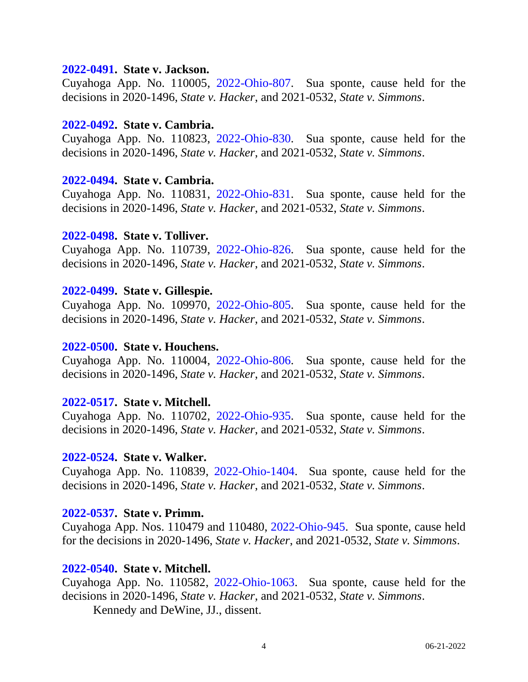#### **[2022-0491.](https://www.supremecourt.ohio.gov/Clerk/ecms/#/caseinfo/2022/0491) State v. Jackson.**

Cuyahoga App. No. 110005, [2022-Ohio-807.](https://www.supremecourt.ohio.gov/rod/docs/pdf/8/2022/2022-Ohio-807.pdf) Sua sponte, cause held for the decisions in 2020-1496, *State v. Hacker*, and 2021-0532, *State v. Simmons*.

#### **[2022-0492.](https://www.supremecourt.ohio.gov/Clerk/ecms/#/caseinfo/2022/0492) State v. Cambria.**

Cuyahoga App. No. 110823, [2022-Ohio-830.](https://www.supremecourt.ohio.gov/rod/docs/pdf/8/2022/2022-Ohio-830.pdf) Sua sponte, cause held for the decisions in 2020-1496, *State v. Hacker*, and 2021-0532, *State v. Simmons*.

#### **[2022-0494.](https://www.supremecourt.ohio.gov/Clerk/ecms/#/caseinfo/2022/0494) State v. Cambria.**

Cuyahoga App. No. 110831, [2022-Ohio-831.](https://www.supremecourt.ohio.gov/rod/docs/pdf/8/2022/2022-Ohio-831.pdf) Sua sponte, cause held for the decisions in 2020-1496, *State v. Hacker*, and 2021-0532, *State v. Simmons*.

#### **[2022-0498.](https://www.supremecourt.ohio.gov/Clerk/ecms/#/caseinfo/2022/0498) State v. Tolliver.**

Cuyahoga App. No. 110739, [2022-Ohio-826.](https://www.supremecourt.ohio.gov/rod/docs/pdf/8/2022/2022-Ohio-826.pdf) Sua sponte, cause held for the decisions in 2020-1496, *State v. Hacker*, and 2021-0532, *State v. Simmons*.

#### **[2022-0499.](https://www.supremecourt.ohio.gov/Clerk/ecms/#/caseinfo/2022/0499) State v. Gillespie.**

Cuyahoga App. No. 109970, [2022-Ohio-805.](https://www.supremecourt.ohio.gov/rod/docs/pdf/8/2022/2022-Ohio-805.pdf) Sua sponte, cause held for the decisions in 2020-1496, *State v. Hacker*, and 2021-0532, *State v. Simmons*.

#### **[2022-0500.](https://www.supremecourt.ohio.gov/Clerk/ecms/#/caseinfo/2022/0500) State v. Houchens.**

Cuyahoga App. No. 110004, [2022-Ohio-806.](https://www.supremecourt.ohio.gov/rod/docs/pdf/8/2022/2022-Ohio-806.pdf) Sua sponte, cause held for the decisions in 2020-1496, *State v. Hacker*, and 2021-0532, *State v. Simmons*.

## **[2022-0517.](https://www.supremecourt.ohio.gov/Clerk/ecms/#/caseinfo/2022/0517) State v. Mitchell.**

Cuyahoga App. No. 110702, [2022-Ohio-935.](https://www.supremecourt.ohio.gov/rod/docs/pdf/8/2022/2022-Ohio-935.pdf) Sua sponte, cause held for the decisions in 2020-1496, *State v. Hacker*, and 2021-0532, *State v. Simmons*.

#### **[2022-0524.](https://www.supremecourt.ohio.gov/Clerk/ecms/#/caseinfo/2022/0524) State v. Walker.**

Cuyahoga App. No. 110839, [2022-Ohio-1404.](https://www.supremecourt.ohio.gov/rod/docs/pdf/8/2022/2022-Ohio-1404.pdf) Sua sponte, cause held for the decisions in 2020-1496, *State v. Hacker*, and 2021-0532, *State v. Simmons*.

## **[2022-0537.](https://www.supremecourt.ohio.gov/Clerk/ecms/#/caseinfo/2022/0537) State v. Primm.**

Cuyahoga App. Nos. 110479 and 110480, [2022-Ohio-945.](https://www.supremecourt.ohio.gov/rod/docs/pdf/8/2022/2022-Ohio-945.pdf) Sua sponte, cause held for the decisions in 2020-1496, *State v. Hacker*, and 2021-0532, *State v. Simmons*.

## **[2022-0540.](https://www.supremecourt.ohio.gov/Clerk/ecms/#/caseinfo/2022/0540) State v. Mitchell.**

Cuyahoga App. No. 110582, [2022-Ohio-1063.](https://www.supremecourt.ohio.gov/rod/docs/pdf/8/2022/2022-Ohio-1063.pdf) Sua sponte, cause held for the decisions in 2020-1496, *State v. Hacker*, and 2021-0532, *State v. Simmons*. Kennedy and DeWine, JJ., dissent.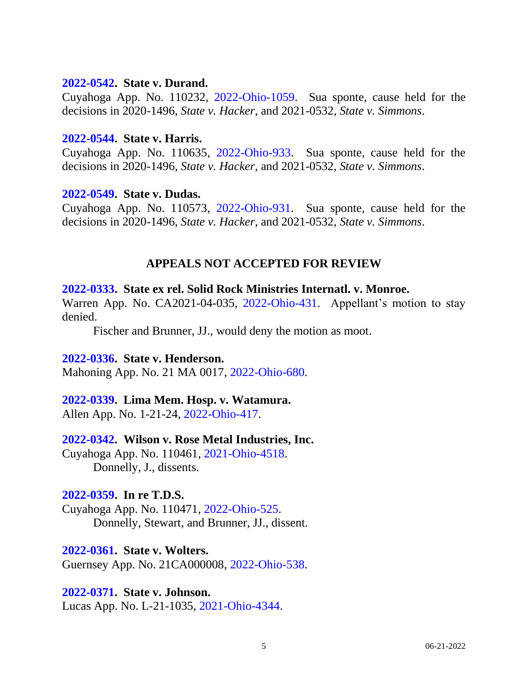#### **[2022-0542.](https://www.supremecourt.ohio.gov/Clerk/ecms/#/caseinfo/2022/0542) State v. Durand.**

Cuyahoga App. No. 110232, [2022-Ohio-1059.](https://www.supremecourt.ohio.gov/rod/docs/pdf/8/2022/2022-Ohio-1059.pdf) Sua sponte, cause held for the decisions in 2020-1496, *State v. Hacker*, and 2021-0532, *State v. Simmons*.

### **[2022-0544.](https://www.supremecourt.ohio.gov/Clerk/ecms/#/caseinfo/2022/0544) State v. Harris.**

Cuyahoga App. No. 110635, [2022-Ohio-933.](https://www.supremecourt.ohio.gov/rod/docs/pdf/8/2022/2022-Ohio-933.pdf) Sua sponte, cause held for the decisions in 2020-1496, *State v. Hacker*, and 2021-0532, *State v. Simmons*.

## **[2022-0549.](https://www.supremecourt.ohio.gov/Clerk/ecms/#/caseinfo/2022/0549) State v. Dudas.**

Cuyahoga App. No. 110573, [2022-Ohio-931.](https://www.supremecourt.ohio.gov/rod/docs/pdf/8/2022/2022-Ohio-931.pdf) Sua sponte, cause held for the decisions in 2020-1496, *State v. Hacker*, and 2021-0532, *State v. Simmons*.

## **APPEALS NOT ACCEPTED FOR REVIEW**

## **[2022-0333.](https://www.supremecourt.ohio.gov/Clerk/ecms/#/caseinfo/2022/0333) State ex rel. Solid Rock Ministries Internatl. v. Monroe.**

Warren App. No. CA2021-04-035, [2022-Ohio-431.](https://www.supremecourt.ohio.gov/rod/docs/pdf/12/2022/2022-Ohio-431.pdf) Appellant's motion to stay denied.

Fischer and Brunner, JJ., would deny the motion as moot.

## **[2022-0336.](https://www.supremecourt.ohio.gov/Clerk/ecms/#/caseinfo/2022/0336) State v. Henderson.**

Mahoning App. No. 21 MA 0017, [2022-Ohio-680.](https://www.supremecourt.ohio.gov/rod/docs/pdf/7/2022/2022-Ohio-680.pdf)

## **[2022-0339.](https://www.supremecourt.ohio.gov/Clerk/ecms/#/caseinfo/2022/0339) Lima Mem. Hosp. v. Watamura.**

Allen App. No. 1-21-24, [2022-Ohio-417.](https://www.supremecourt.ohio.gov/rod/docs/pdf/3/2022/2022-Ohio-417.pdf)

## **[2022-0342.](https://www.supremecourt.ohio.gov/Clerk/ecms/#/caseinfo/2022/0342) Wilson v. Rose Metal Industries, Inc.**

Cuyahoga App. No. 110461, [2021-Ohio-4518.](https://www.supremecourt.ohio.gov/rod/docs/pdf/8/2021/2021-Ohio-4518.pdf) Donnelly, J., dissents.

## **[2022-0359.](https://www.supremecourt.ohio.gov/Clerk/ecms/#/caseinfo/2022/0359) In re T.D.S.**

Cuyahoga App. No. 110471, [2022-Ohio-525.](https://www.supremecourt.ohio.gov/rod/docs/pdf/8/2022/2022-Ohio-525.pdf) Donnelly, Stewart, and Brunner, JJ., dissent.

## **[2022-0361.](https://www.supremecourt.ohio.gov/Clerk/ecms/#/caseinfo/2022/0361) State v. Wolters.**

Guernsey App. No. 21CA000008, [2022-Ohio-538.](https://www.supremecourt.ohio.gov/rod/docs/pdf/5/2022/2022-Ohio-538.pdf)

## **[2022-0371.](https://www.supremecourt.ohio.gov/Clerk/ecms/#/caseinfo/2022/0371) State v. Johnson.**

Lucas App. No. L-21-1035, [2021-Ohio-4344.](https://www.supremecourt.ohio.gov/rod/docs/pdf/6/2021/2021-Ohio-4344.pdf)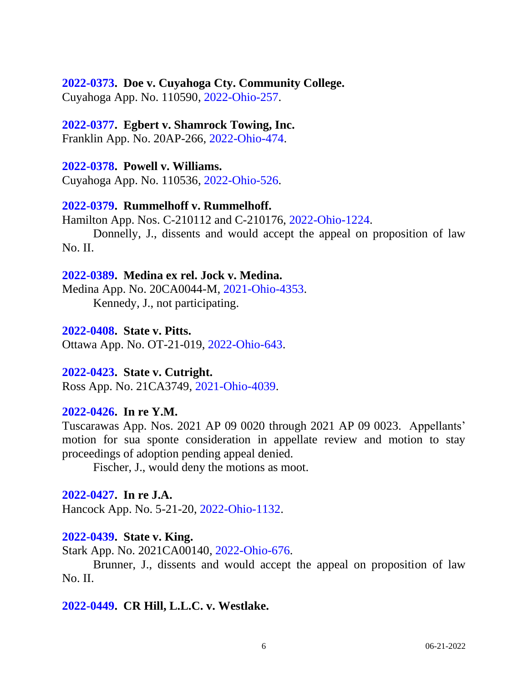#### **[2022-0373.](https://www.supremecourt.ohio.gov/Clerk/ecms/#/caseinfo/2022/0373) Doe v. Cuyahoga Cty. Community College.**

Cuyahoga App. No. 110590, [2022-Ohio-257.](https://www.supremecourt.ohio.gov/rod/docs/pdf/11/2022/2022-Ohio-257.pdf)

# **[2022-0377.](https://www.supremecourt.ohio.gov/Clerk/ecms/#/caseinfo/2022/0377) Egbert v. Shamrock Towing, Inc.**

Franklin App. No. 20AP-266, [2022-Ohio-474.](https://www.supremecourt.ohio.gov/rod/docs/pdf/10/2022/2022-Ohio-474.pdf)

## **[2022-0378.](https://www.supremecourt.ohio.gov/Clerk/ecms/#/caseinfo/2022/0378) Powell v. Williams.**

Cuyahoga App. No. 110536, [2022-Ohio-526.](https://www.supremecourt.ohio.gov/rod/docs/pdf/8/2022/2022-Ohio-526.pdf)

## **[2022-0379.](https://www.supremecourt.ohio.gov/Clerk/ecms/#/caseinfo/2022/0379) Rummelhoff v. Rummelhoff.**

Hamilton App. Nos. C-210112 and C-210176, [2022-Ohio-1224.](https://www.supremecourt.ohio.gov/rod/docs/pdf/1/2022/2022-Ohio-1224.pdf)

Donnelly, J., dissents and would accept the appeal on proposition of law No. II.

## **[2022-0389.](https://www.supremecourt.ohio.gov/Clerk/ecms/#/caseinfo/2022/0389) Medina ex rel. Jock v. Medina.**

Medina App. No. 20CA0044-M, [2021-Ohio-4353.](https://www.supremecourt.ohio.gov/rod/docs/pdf/9/2021/2021-Ohio-4353.pdf) Kennedy, J., not participating.

## **[2022-0408.](https://www.supremecourt.ohio.gov/Clerk/ecms/#/caseinfo/2022/0408) State v. Pitts.**

Ottawa App. No. OT-21-019, [2022-Ohio-643.](https://www.supremecourt.ohio.gov/rod/docs/pdf/6/2022/2022-Ohio-643.pdf)

# **[2022-0423.](https://www.supremecourt.ohio.gov/Clerk/ecms/#/caseinfo/2022/0423) State v. Cutright.**

Ross App. No. 21CA3749, [2021-Ohio-4039.](https://www.supremecourt.ohio.gov/rod/docs/pdf/4/2021/2021-Ohio-4039.pdf)

# **[2022-0426.](https://www.supremecourt.ohio.gov/Clerk/ecms/#/caseinfo/2022/0426) In re Y.M.**

Tuscarawas App. Nos. 2021 AP 09 0020 through 2021 AP 09 0023. Appellants' motion for sua sponte consideration in appellate review and motion to stay proceedings of adoption pending appeal denied.

Fischer, J., would deny the motions as moot.

# **[2022-0427.](https://www.supremecourt.ohio.gov/Clerk/ecms/#/caseinfo/2022/0427) In re J.A.**

Hancock App. No. 5-21-20, [2022-Ohio-1132.](https://www.supremecourt.ohio.gov/rod/docs/pdf/3/2022/2022-Ohio-1132.pdf)

# **[2022-0439.](https://www.supremecourt.ohio.gov/Clerk/ecms/#/caseinfo/2022/0439) State v. King.**

Stark App. No. 2021CA00140, [2022-Ohio-676.](https://www.supremecourt.ohio.gov/rod/docs/pdf/5/2022/2022-Ohio-676.pdf)

Brunner, J., dissents and would accept the appeal on proposition of law No. II.

## **[2022-0449.](https://www.supremecourt.ohio.gov/Clerk/ecms/#/caseinfo/2022/0449) CR Hill, L.L.C. v. Westlake.**